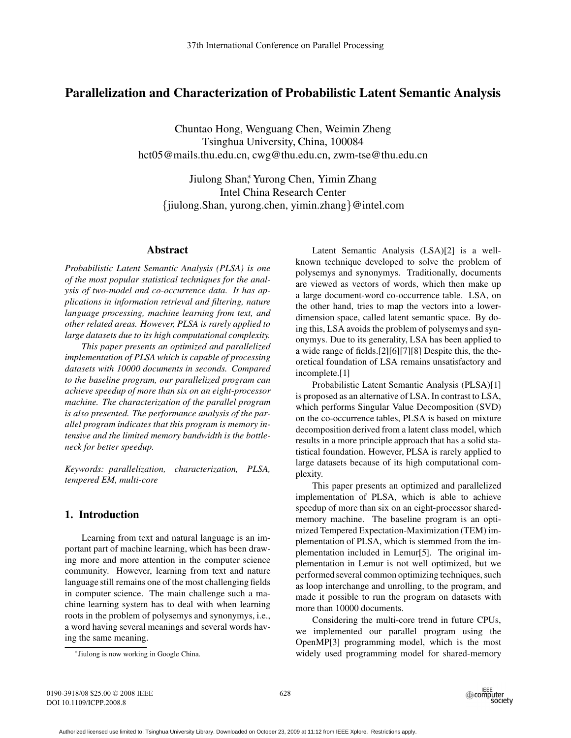# **Parallelization and Characterization of Probabilistic Latent Semantic Analysis**

Chuntao Hong, Wenguang Chen, Weimin Zheng Tsinghua University, China, 100084 hct05@mails.thu.edu.cn, cwg@thu.edu.cn, zwm-tse@thu.edu.cn

Jiulong Shan<sup>\*</sup>, Yurong Chen, Yimin Zhang Intel China Research Center {jiulong.Shan, yurong.chen, yimin.zhang}@intel.com

#### **Abstract**

*Probabilistic Latent Semantic Analysis (PLSA) is one of the most popular statistical techniques for the analysis of two-model and co-occurrence data. It has applications in information retrieval and filtering, nature language processing, machine learning from text, and other related areas. However, PLSA is rarely applied to large datasets due to its high computational complexity.*

*This paper presents an optimized and parallelized implementation of PLSA which is capable of processing datasets with 10000 documents in seconds. Compared to the baseline program, our parallelized program can achieve speedup of more than six on an eight-processor machine. The characterization of the parallel program is also presented. The performance analysis of the parallel program indicates that this program is memory intensive and the limited memory bandwidth is the bottleneck for better speedup.*

*Keywords: parallelization, characterization, PLSA, tempered EM, multi-core*

# **1. Introduction**

Learning from text and natural language is an important part of machine learning, which has been drawing more and more attention in the computer science community. However, learning from text and nature language still remains one of the most challenging fields in computer science. The main challenge such a machine learning system has to deal with when learning roots in the problem of polysemys and synonymys, i.e., a word having several meanings and several words having the same meaning.

Latent Semantic Analysis (LSA)[2] is a wellknown technique developed to solve the problem of polysemys and synonymys. Traditionally, documents are viewed as vectors of words, which then make up a large document-word co-occurrence table. LSA, on the other hand, tries to map the vectors into a lowerdimension space, called latent semantic space. By doing this, LSA avoids the problem of polysemys and synonymys. Due to its generality, LSA has been applied to a wide range of fields.[2][6][7][8] Despite this, the theoretical foundation of LSA remains unsatisfactory and incomplete.[1]

Probabilistic Latent Semantic Analysis (PLSA)[1] is proposed as an alternative of LSA. In contrast to LSA, which performs Singular Value Decomposition (SVD) on the co-occurrence tables, PLSA is based on mixture decomposition derived from a latent class model, which results in a more principle approach that has a solid statistical foundation. However, PLSA is rarely applied to large datasets because of its high computational complexity.

This paper presents an optimized and parallelized implementation of PLSA, which is able to achieve speedup of more than six on an eight-processor sharedmemory machine. The baseline program is an optimized Tempered Expectation-Maximization (TEM) implementation of PLSA, which is stemmed from the implementation included in Lemur[5]. The original implementation in Lemur is not well optimized, but we performed several common optimizing techniques, such as loop interchange and unrolling, to the program, and made it possible to run the program on datasets with more than 10000 documents.

Considering the multi-core trend in future CPUs, we implemented our parallel program using the OpenMP[3] programming model, which is the most widely used programming model for shared-memory

<sup>∗</sup>Jiulong is now working in Google China.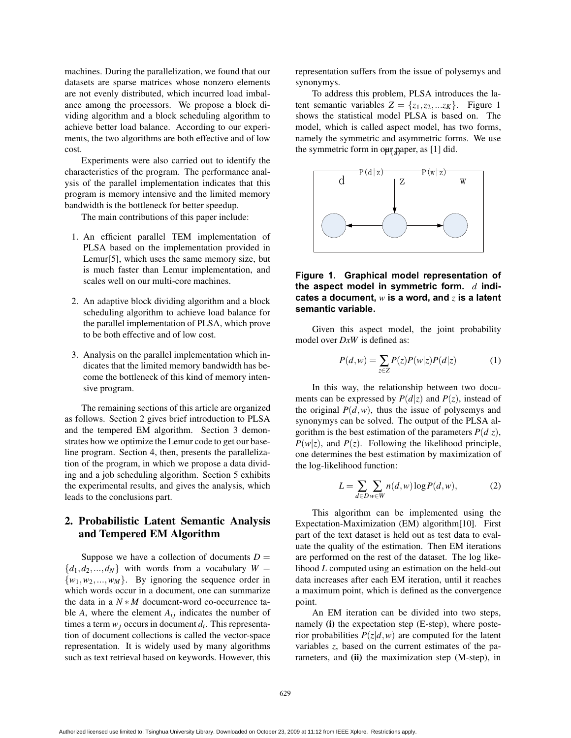machines. During the parallelization, we found that our datasets are sparse matrices whose nonzero elements are not evenly distributed, which incurred load imbalance among the processors. We propose a block dividing algorithm and a block scheduling algorithm to achieve better load balance. According to our experiments, the two algorithms are both effective and of low cost.

Experiments were also carried out to identify the characteristics of the program. The performance analysis of the parallel implementation indicates that this program is memory intensive and the limited memory bandwidth is the bottleneck for better speedup.

The main contributions of this paper include:

- 1. An efficient parallel TEM implementation of PLSA based on the implementation provided in Lemur[5], which uses the same memory size, but is much faster than Lemur implementation, and scales well on our multi-core machines.
- 2. An adaptive block dividing algorithm and a block scheduling algorithm to achieve load balance for the parallel implementation of PLSA, which prove to be both effective and of low cost.
- 3. Analysis on the parallel implementation which indicates that the limited memory bandwidth has become the bottleneck of this kind of memory intensive program.

The remaining sections of this article are organized as follows. Section 2 gives brief introduction to PLSA and the tempered EM algorithm. Section 3 demonstrates how we optimize the Lemur code to get our baseline program. Section 4, then, presents the parallelization of the program, in which we propose a data dividing and a job scheduling algorithm. Section 5 exhibits the experimental results, and gives the analysis, which leads to the conclusions part.

# **2. Probabilistic Latent Semantic Analysis and Tempered EM Algorithm**

Suppose we have a collection of documents  $D =$  ${d_1, d_2,..., d_N}$  with words from a vocabulary  $W =$  $\{w_1, w_2, ..., w_M\}$ . By ignoring the sequence order in which words occur in a document, one can summarize the data in a *N* ∗ *M* document-word co-occurrence table  $A$ , where the element  $A_{ij}$  indicates the number of times a term  $w_i$  occurs in document  $d_i$ . This representation of document collections is called the vector-space representation. It is widely used by many algorithms such as text retrieval based on keywords. However, this representation suffers from the issue of polysemys and synonymys.

To address this problem, PLSA introduces the latent semantic variables  $Z = \{z_1, z_2, ... z_K\}$ . Figure 1 shows the statistical model PLSA is based on. The model, which is called aspect model, has two forms, namely the symmetric and asymmetric forms. We use the symmetric form in our paper, as [1] did.



## **Figure 1. Graphical model representation of the aspect model in symmetric form.** *d* **indicates a document,** *w* **is a word, and** *z* **is a latent semantic variable.**

Given this aspect model, the joint probability model over *DxW* is defined as:

$$
P(d, w) = \sum_{z \in Z} P(z)P(w|z)P(d|z)
$$
 (1)

In this way, the relationship between two documents can be expressed by  $P(d|z)$  and  $P(z)$ , instead of the original  $P(d, w)$ , thus the issue of polysemys and synonymys can be solved. The output of the PLSA algorithm is the best estimation of the parameters  $P(d|z)$ ,  $P(w|z)$ , and  $P(z)$ . Following the likelihood principle, one determines the best estimation by maximization of the log-likelihood function:

$$
L = \sum_{d \in D} \sum_{w \in W} n(d, w) \log P(d, w), \tag{2}
$$

This algorithm can be implemented using the Expectation-Maximization (EM) algorithm[10]. First part of the text dataset is held out as test data to evaluate the quality of the estimation. Then EM iterations are performed on the rest of the dataset. The log likelihood *L* computed using an estimation on the held-out data increases after each EM iteration, until it reaches a maximum point, which is defined as the convergence point.

An EM iteration can be divided into two steps, namely **(i)** the expectation step (E-step), where posterior probabilities  $P(z|d, w)$  are computed for the latent variables *z*, based on the current estimates of the parameters, and **(ii)** the maximization step (M-step), in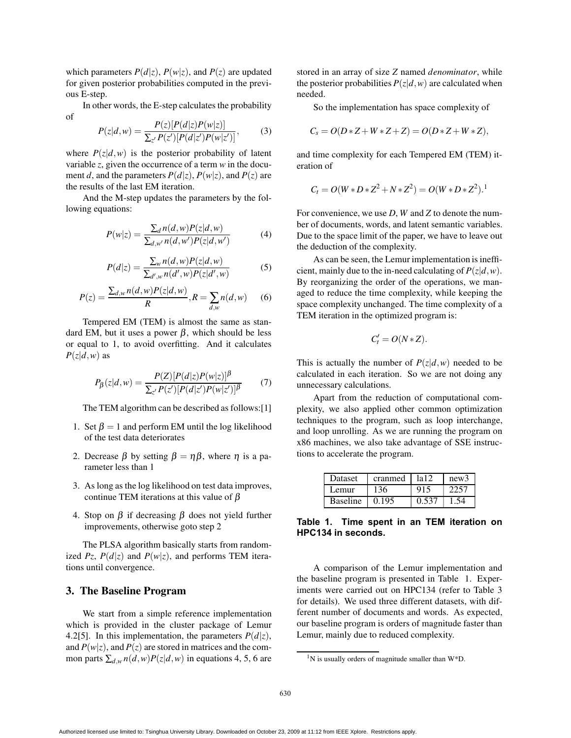which parameters  $P(d|z)$ ,  $P(w|z)$ , and  $P(z)$  are updated for given posterior probabilities computed in the previous E-step.

In other words, the E-step calculates the probability of

$$
P(z|d,w) = \frac{P(z)[P(d|z)P(w|z)]}{\sum_{z'} P(z')[P(d|z')P(w|z')]},
$$
(3)

where  $P(z|d, w)$  is the posterior probability of latent variable *z*, given the occurrence of a term *w* in the document *d*, and the parameters  $P(d|z)$ ,  $P(w|z)$ , and  $P(z)$  are the results of the last EM iteration.

And the M-step updates the parameters by the following equations:

$$
P(w|z) = \frac{\sum_{d} n(d,w)P(z|d,w)}{\sum_{d,w'} n(d,w')P(z|d,w')} \tag{4}
$$

$$
P(d|z) = \frac{\sum_{w} n(d,w)P(z|d,w)}{\sum_{d',w} n(d',w)P(z|d',w)}
$$
(5)

$$
P(z) = \frac{\sum_{d,w} n(d,w)P(z|d,w)}{R}, R = \sum_{d,w} n(d,w) \tag{6}
$$

Tempered EM (TEM) is almost the same as standard EM, but it uses a power β, which should be less or equal to 1, to avoid overfitting. And it calculates  $P(z|d,w)$  as

$$
P_{\beta}(z|d,w) = \frac{P(Z)[P(d|z)P(w|z)]^{\beta}}{\sum_{z'} P(z')[P(d|z')P(w|z')]^{\beta}} \tag{7}
$$

The TEM algorithm can be described as follows:[1]

- 1. Set  $\beta = 1$  and perform EM until the log likelihood of the test data deteriorates
- 2. Decrease  $\beta$  by setting  $\beta = \eta \beta$ , where  $\eta$  is a parameter less than 1
- 3. As long as the log likelihood on test data improves, continue TEM iterations at this value of  $\beta$
- 4. Stop on  $\beta$  if decreasing  $\beta$  does not yield further improvements, otherwise goto step 2

The PLSA algorithm basically starts from randomized *Pz*,  $P(d|z)$  and  $P(w|z)$ , and performs TEM iterations until convergence.

### **3. The Baseline Program**

We start from a simple reference implementation which is provided in the cluster package of Lemur 4.2[5]. In this implementation, the parameters  $P(d|z)$ , and  $P(w|z)$ , and  $P(z)$  are stored in matrices and the common parts  $\sum_{d,w} n(d,w)P(z|d,w)$  in equations 4, 5, 6 are

stored in an array of size *Z* named *denominator*, while the posterior probabilities  $P(z|d, w)$  are calculated when needed.

So the implementation has space complexity of

$$
C_s = O(D * Z + W * Z + Z) = O(D * Z + W * Z),
$$

and time complexity for each Tempered EM (TEM) iteration of

$$
C_t = O(W * D * Z^2 + N * Z^2) = O(W * D * Z^2).
$$

For convenience, we use *D*, *W* and *Z* to denote the number of documents, words, and latent semantic variables. Due to the space limit of the paper, we have to leave out the deduction of the complexity.

As can be seen, the Lemur implementation is inefficient, mainly due to the in-need calculating of  $P(z|d, w)$ . By reorganizing the order of the operations, we managed to reduce the time complexity, while keeping the space complexity unchanged. The time complexity of a TEM iteration in the optimized program is:

$$
C_t' = O(N * Z).
$$

This is actually the number of  $P(z|d, w)$  needed to be calculated in each iteration. So we are not doing any unnecessary calculations.

Apart from the reduction of computational complexity, we also applied other common optimization techniques to the program, such as loop interchange, and loop unrolling. As we are running the program on x86 machines, we also take advantage of SSE instructions to accelerate the program.

| <b>Dataset</b>  | cranmed | 12 1 2 | new3 |
|-----------------|---------|--------|------|
| Lemur           | 136     | 915    | ツワラフ |
| <b>Baseline</b> | 0.195   | 0.537  |      |

**Table 1. Time spent in an TEM iteration on HPC134 in seconds.**

A comparison of the Lemur implementation and the baseline program is presented in Table 1. Experiments were carried out on HPC134 (refer to Table 3 for details). We used three different datasets, with different number of documents and words. As expected, our baseline program is orders of magnitude faster than Lemur, mainly due to reduced complexity.

Authorized licensed use limited to: Tsinghua University Library. Downloaded on October 23, 2009 at 11:12 from IEEE Xplore. Restrictions apply.

 $1$ N is usually orders of magnitude smaller than W\*D.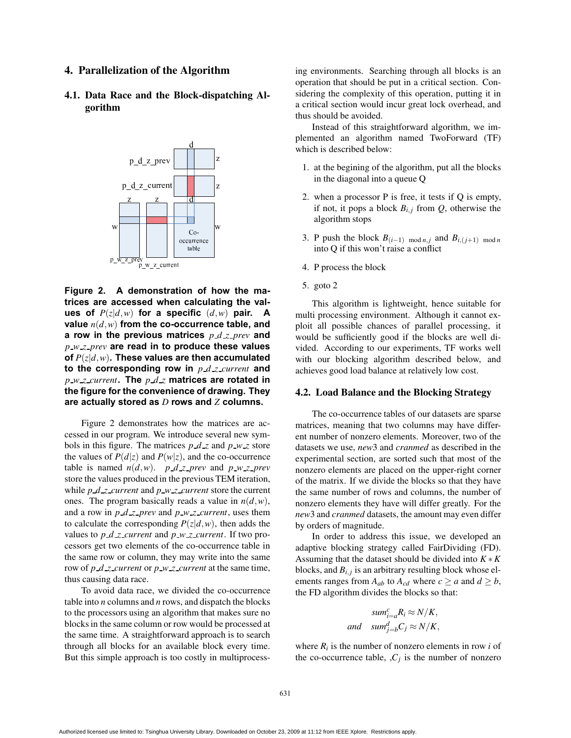#### **4. Parallelization of the Algorithm**

**4.1. Data Race and the Block-dispatching Algorithm**



**Figure 2. A demonstration of how the matrices are accessed when calculating the values of**  $P(z|d,w)$  for a specific  $(d,w)$  pair. A **value** *n*(*d*,*w*) **from the co-occurrence table, and a row in the previous matrices** *p d z prev* **and** *p w z prev* **are read in to produce these values of** *P*(*z*|*d*,*w*)**. These values are then accumulated to the corresponding row in** *p d z current* **and** *p w z current***. The** *p d z* **matrices are rotated in the figure for the convenience of drawing. They are actually stored as** *D* **rows and** *Z* **columns.**

Figure 2 demonstrates how the matrices are accessed in our program. We introduce several new symbols in this figure. The matrices  $p \, d \, z$  and  $p \, w \, z$  store the values of  $P(d|z)$  and  $P(w|z)$ , and the co-occurrence table is named  $n(d, w)$ . *p d z prev* and *p w z prev* store the values produced in the previous TEM iteration, while  $p \, d \, z$  *current* and  $p \, w \, z$  *current* store the current ones. The program basically reads a value in  $n(d, w)$ , and a row in  $p \, d \, z$ -prev and  $p \, w \, z$ -current, uses them to calculate the corresponding  $P(z|d, w)$ , then adds the values to  $p \, d \, z$  *current* and  $p \, w \, z$  *current*. If two processors get two elements of the co-occurrence table in the same row or column, they may write into the same row of *p d z current* or *p w z current* at the same time, thus causing data race.

To avoid data race, we divided the co-occurrence table into *n* columns and *n* rows, and dispatch the blocks to the processors using an algorithm that makes sure no blocks in the same column or row would be processed at the same time. A straightforward approach is to search through all blocks for an available block every time. But this simple approach is too costly in multiprocessing environments. Searching through all blocks is an operation that should be put in a critical section. Considering the complexity of this operation, putting it in a critical section would incur great lock overhead, and thus should be avoided.

Instead of this straightforward algorithm, we implemented an algorithm named TwoForward (TF) which is described below:

- 1. at the begining of the algorithm, put all the blocks in the diagonal into a queue Q
- 2. when a processor P is free, it tests if Q is empty, if not, it pops a block  $B_{i,j}$  from  $Q$ , otherwise the algorithm stops
- 3. P push the block  $B_{(i-1) \mod n, j}$  and  $B_{i,(j+1) \mod n}$ into Q if this won't raise a conflict
- 4. P process the block
- 5. goto 2

This algorithm is lightweight, hence suitable for multi processing environment. Although it cannot exploit all possible chances of parallel processing, it would be sufficiently good if the blocks are well divided. According to our experiments, TF works well with our blocking algorithm described below, and achieves good load balance at relatively low cost.

#### **4.2. Load Balance and the Blocking Strategy**

The co-occurrence tables of our datasets are sparse matrices, meaning that two columns may have different number of nonzero elements. Moreover, two of the datasets we use, *new*3 and *cranmed* as described in the experimental section, are sorted such that most of the nonzero elements are placed on the upper-right corner of the matrix. If we divide the blocks so that they have the same number of rows and columns, the number of nonzero elements they have will differ greatly. For the *new*3 and *cranmed* datasets, the amount may even differ by orders of magnitude.

In order to address this issue, we developed an adaptive blocking strategy called FairDividing (FD). Assuming that the dataset should be divided into *K* ∗*K* blocks, and  $B_{i,j}$  is an arbitrary resulting block whose elements ranges from  $A_{ab}$  to  $A_{cd}$  where  $c \ge a$  and  $d \ge b$ , the FD algorithm divides the blocks so that:

$$
sum_{i=a}^{c} R_i \approx N/K,
$$
  
and 
$$
sum_{j=b}^{d} C_j \approx N/K,
$$

where  $R_i$  is the number of nonzero elements in row *i* of the co-occurrence table,  $C_i$  is the number of nonzero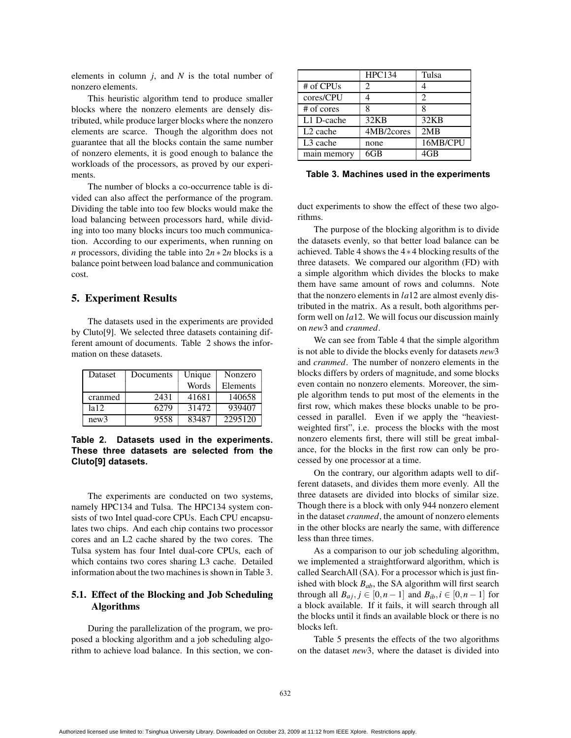elements in column *j*, and *N* is the total number of nonzero elements.

This heuristic algorithm tend to produce smaller blocks where the nonzero elements are densely distributed, while produce larger blocks where the nonzero elements are scarce. Though the algorithm does not guarantee that all the blocks contain the same number of nonzero elements, it is good enough to balance the workloads of the processors, as proved by our experiments.

The number of blocks a co-occurrence table is divided can also affect the performance of the program. Dividing the table into too few blocks would make the load balancing between processors hard, while dividing into too many blocks incurs too much communication. According to our experiments, when running on *n* processors, dividing the table into 2*n* ∗ 2*n* blocks is a balance point between load balance and communication cost.

### **5. Experiment Results**

The datasets used in the experiments are provided by Cluto[9]. We selected three datasets containing different amount of documents. Table 2 shows the information on these datasets.

| Dataset | Documents | Unique | Nonzero  |
|---------|-----------|--------|----------|
|         |           | Words  | Elements |
| cranmed | 2431      | 41681  | 140658   |
| la 12.  | 6279      | 31472  | 939407   |
| new3    | 9558      | 83487  | 2295120  |

**Table 2. Datasets used in the experiments. These three datasets are selected from the Cluto[9] datasets.**

The experiments are conducted on two systems, namely HPC134 and Tulsa. The HPC134 system consists of two Intel quad-core CPUs. Each CPU encapsulates two chips. And each chip contains two processor cores and an L2 cache shared by the two cores. The Tulsa system has four Intel dual-core CPUs, each of which contains two cores sharing L3 cache. Detailed information about the two machines is shown in Table 3.

### **5.1. Effect of the Blocking and Job Scheduling Algorithms**

During the parallelization of the program, we proposed a blocking algorithm and a job scheduling algorithm to achieve load balance. In this section, we con-

|                      | <b>HPC134</b> | Tulsa    |
|----------------------|---------------|----------|
| # of CPUs            | 2             |          |
| cores/CPU            |               | 2        |
| $#$ of cores         |               |          |
| L1 D-cache           | 32KB          | 32KB     |
| L <sub>2</sub> cache | 4MB/2cores    | 2MB      |
| L <sub>3</sub> cache | none          | 16MB/CPU |
| main memory          | 6GB           | 4GB      |

**Table 3. Machines used in the experiments**

duct experiments to show the effect of these two algorithms.

The purpose of the blocking algorithm is to divide the datasets evenly, so that better load balance can be achieved. Table 4 shows the 4∗4 blocking results of the three datasets. We compared our algorithm (FD) with a simple algorithm which divides the blocks to make them have same amount of rows and columns. Note that the nonzero elements in *la*12 are almost evenly distributed in the matrix. As a result, both algorithms perform well on *la*12. We will focus our discussion mainly on *new*3 and *cranmed*.

We can see from Table 4 that the simple algorithm is not able to divide the blocks evenly for datasets *new*3 and *cranmed*. The number of nonzero elements in the blocks differs by orders of magnitude, and some blocks even contain no nonzero elements. Moreover, the simple algorithm tends to put most of the elements in the first row, which makes these blocks unable to be processed in parallel. Even if we apply the "heaviestweighted first", i.e. process the blocks with the most nonzero elements first, there will still be great imbalance, for the blocks in the first row can only be processed by one processor at a time.

On the contrary, our algorithm adapts well to different datasets, and divides them more evenly. All the three datasets are divided into blocks of similar size. Though there is a block with only 944 nonzero element in the dataset *cranmed*, the amount of nonzero elements in the other blocks are nearly the same, with difference less than three times.

As a comparison to our job scheduling algorithm, we implemented a straightforward algorithm, which is called SearchAll (SA). For a processor which is just finished with block  $B_{ab}$ , the SA algorithm will first search through all  $B_{aj}$ ,  $j \in [0, n-1]$  and  $B_{ib}$ ,  $i \in [0, n-1]$  for a block available. If it fails, it will search through all the blocks until it finds an available block or there is no blocks left.

Table 5 presents the effects of the two algorithms on the dataset *new*3, where the dataset is divided into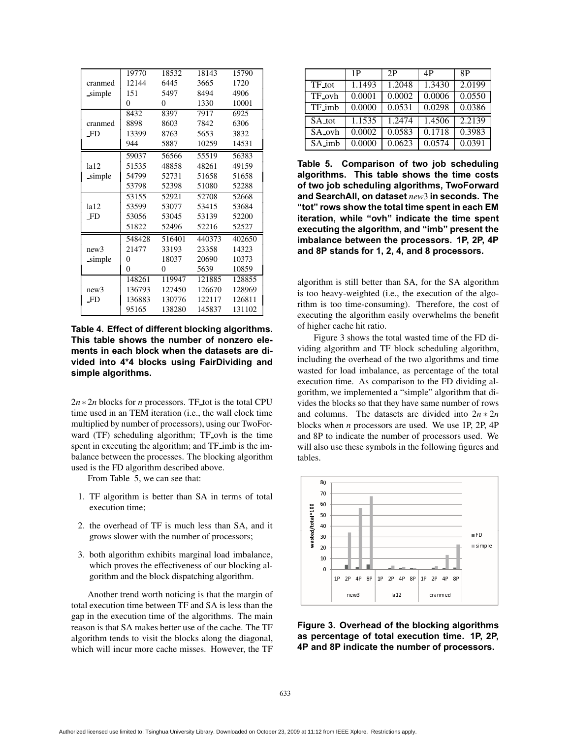|                        | 19770    | 18532  | 18143  | 15790  |
|------------------------|----------|--------|--------|--------|
| cranmed                | 12144    | 6445   | 3665   | 1720   |
| simple                 | 151      | 5497   | 8494   | 4906   |
|                        | 0        | 0      | 1330   | 10001  |
|                        | 8432     | 8397   | 7917   | 6925   |
| cranmed                | 8898     | 8603   | 7842   | 6306   |
| F <sub>D</sub>         | 13399    | 8763   | 5653   | 3832   |
|                        | 944      | 5887   | 10259  | 14531  |
|                        | 59037    | 56566  | 55519  | 56383  |
| 1a12                   | 51535    | 48858  | 48261  | 49159  |
| simple                 | 54799    | 52731  | 51658  | 51658  |
|                        | 53798    | 52398  | 51080  | 52288  |
|                        | 53155    | 52921  | 52708  | 52668  |
| 1a12<br>F <sub>D</sub> | 53599    | 53077  | 53415  | 53684  |
|                        | 53056    | 53045  | 53139  | 52200  |
|                        | 51822    | 52496  | 52216  | 52527  |
| new3<br>simple         | 548428   | 516401 | 440373 | 402650 |
|                        | 21477    | 33193  | 23358  | 14323  |
|                        | 0        | 18037  | 20690  | 10373  |
|                        | $\theta$ | 0      | 5639   | 10859  |
| new3<br><b>FD</b>      | 148261   | 119947 | 121885 | 128855 |
|                        | 136793   | 127450 | 126670 | 128969 |
|                        | 136883   | 130776 | 122117 | 126811 |
|                        | 95165    | 138280 | 145837 | 131102 |

**Table 4. Effect of different blocking algorithms. This table shows the number of nonzero elements in each block when the datasets are divided into 4\*4 blocks using FairDividing and simple algorithms.**

2*n* ∗ 2*n* blocks for *n* processors. TF tot is the total CPU time used in an TEM iteration (i.e., the wall clock time multiplied by number of processors), using our TwoForward (TF) scheduling algorithm; TF ovh is the time spent in executing the algorithm; and TF imb is the imbalance between the processes. The blocking algorithm used is the FD algorithm described above.

From Table 5, we can see that:

- 1. TF algorithm is better than SA in terms of total execution time;
- 2. the overhead of TF is much less than SA, and it grows slower with the number of processors;
- 3. both algorithm exhibits marginal load imbalance, which proves the effectiveness of our blocking algorithm and the block dispatching algorithm.

Another trend worth noticing is that the margin of total execution time between TF and SA is less than the gap in the execution time of the algorithms. The main reason is that SA makes better use of the cache. The TF algorithm tends to visit the blocks along the diagonal, which will incur more cache misses. However, the TF

|        | 1 P    | 2P     | 4P     | 8P     |
|--------|--------|--------|--------|--------|
| TF_tot | 1.1493 | 1.2048 | 1.3430 | 2.0199 |
| TF_ovh | 0.0001 | 0.0002 | 0.0006 | 0.0550 |
| TF_imb | 0.0000 | 0.0531 | 0.0298 | 0.0386 |
| SA_tot | 1.1535 | 1.2474 | 1.4506 | 2.2139 |
| SA_ovh | 0.0002 | 0.0583 | 0.1718 | 0.3983 |
| SA_imb | 0.0000 | 0.0623 | 0.0574 | 0.0391 |

**Table 5. Comparison of two job scheduling algorithms. This table shows the time costs of two job scheduling algorithms, TwoForward and SearchAll, on dataset** *new*3 **in seconds. The "tot" rows show the total time spent in each EM iteration, while "ovh" indicate the time spent executing the algorithm, and "imb" present the imbalance between the processors. 1P, 2P, 4P and 8P stands for 1, 2, 4, and 8 processors.**

algorithm is still better than SA, for the SA algorithm is too heavy-weighted (i.e., the execution of the algorithm is too time-consuming). Therefore, the cost of executing the algorithm easily overwhelms the benefit of higher cache hit ratio.

Figure 3 shows the total wasted time of the FD dividing algorithm and TF block scheduling algorithm, including the overhead of the two algorithms and time wasted for load imbalance, as percentage of the total execution time. As comparison to the FD dividing algorithm, we implemented a "simple" algorithm that divides the blocks so that they have same number of rows and columns. The datasets are divided into  $2n \times 2n$ blocks when *n* processors are used. We use 1P, 2P, 4P and 8P to indicate the number of processors used. We will also use these symbols in the following figures and tables.



**Figure 3. Overhead of the blocking algorithms as percentage of total execution time. 1P, 2P, 4P and 8P indicate the number of processors.**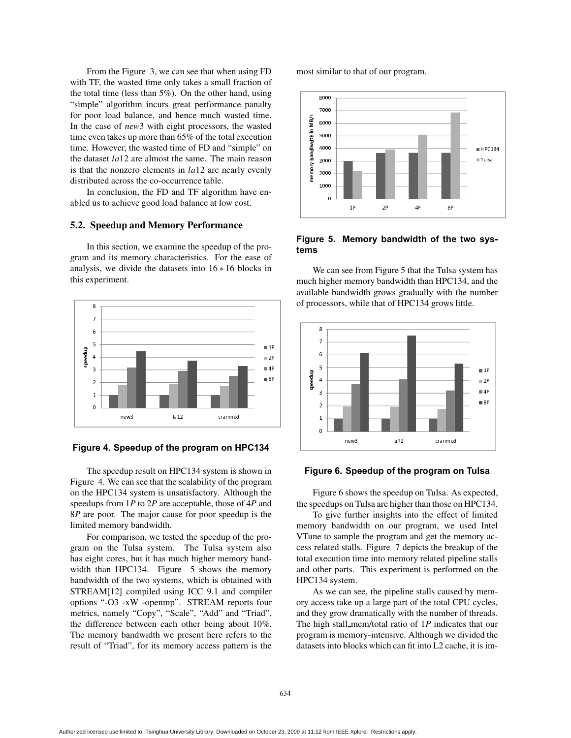From the Figure 3, we can see that when using FD with TF, the wasted time only takes a small fraction of the total time (less than 5%). On the other hand, using "simple" algorithm incurs great performance panalty for poor load balance, and hence much wasted time. In the case of *new*3 with eight processors, the wasted time even takes up more than 65% of the total execution time. However, the wasted time of FD and "simple" on the dataset *la*12 are almost the same. The main reason is that the nonzero elements in *la*12 are nearly evenly distributed across the co-occurrence table.

In conclusion, the FD and TF algorithm have enabled us to achieve good load balance at low cost.

#### **5.2. Speedup and Memory Performance**

In this section, we examine the speedup of the program and its memory characteristics. For the ease of analysis, we divide the datasets into  $16 * 16$  blocks in this experiment.



#### **Figure 4. Speedup of the program on HPC134**

The speedup result on HPC134 system is shown in Figure 4. We can see that the scalability of the program on the HPC134 system is unsatisfactory. Although the speedups from 1*P* to 2*P* are acceptable, those of 4*P* and 8*P* are poor. The major cause for poor speedup is the limited memory bandwidth.

For comparison, we tested the speedup of the program on the Tulsa system. The Tulsa system also has eight cores, but it has much higher memory bandwidth than HPC134. Figure 5 shows the memory bandwidth of the two systems, which is obtained with STREAM[12] compiled using ICC 9.1 and compiler options "-O3 -xW -openmp". STREAM reports four metrics, namely "Copy", "Scale", "Add" and "Triad", the difference between each other being about 10%. The memory bandwidth we present here refers to the result of "Triad", for its memory access pattern is the

most similar to that of our program.



#### **Figure 5. Memory bandwidth of the two systems**

We can see from Figure 5 that the Tulsa system has much higher memory bandwidth than HPC134, and the available bandwidth grows gradually with the number of processors, while that of HPC134 grows little.



#### **Figure 6. Speedup of the program on Tulsa**

Figure 6 shows the speedup on Tulsa. As expected, the speedups on Tulsa are higher than those on HPC134.

To give further insights into the effect of limited memory bandwidth on our program, we used Intel VTune to sample the program and get the memory access related stalls. Figure 7 depicts the breakup of the total execution time into memory related pipeline stalls and other parts. This experiment is performed on the HPC134 system.

As we can see, the pipeline stalls caused by memory access take up a large part of the total CPU cycles, and they grow dramatically with the number of threads. The high stall mem/total ratio of 1*P* indicates that our program is memory-intensive. Although we divided the datasets into blocks which can fit into L2 cache, it is im-